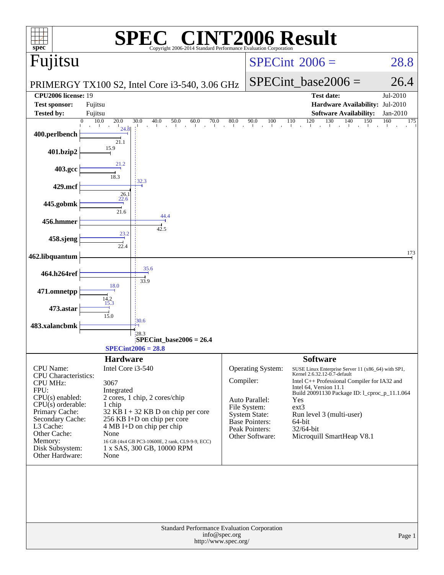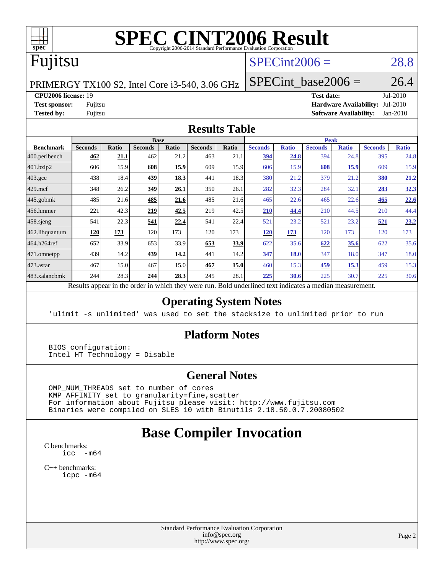

# **[SPEC CINT2006 Result](http://www.spec.org/auto/cpu2006/Docs/result-fields.html#SPECCINT2006Result)**

# Fujitsu

### $SPECint2006 = 28.8$  $SPECint2006 = 28.8$

PRIMERGY TX100 S2, Intel Core i3-540, 3.06 GHz

**[CPU2006 license:](http://www.spec.org/auto/cpu2006/Docs/result-fields.html#CPU2006license)** 19 **[Test date:](http://www.spec.org/auto/cpu2006/Docs/result-fields.html#Testdate)** Jul-2010

SPECint base2006 =  $26.4$ 

**[Test sponsor:](http://www.spec.org/auto/cpu2006/Docs/result-fields.html#Testsponsor)** Fujitsu **[Hardware Availability:](http://www.spec.org/auto/cpu2006/Docs/result-fields.html#HardwareAvailability)** Jul-2010 **[Tested by:](http://www.spec.org/auto/cpu2006/Docs/result-fields.html#Testedby)** Fujitsu **[Software Availability:](http://www.spec.org/auto/cpu2006/Docs/result-fields.html#SoftwareAvailability)** Jan-2010

### **[Results Table](http://www.spec.org/auto/cpu2006/Docs/result-fields.html#ResultsTable)**

|                   |                                        |                | <b>Base</b>    |       |                |       |                |              | <b>Peak</b>    |              |                |              |
|-------------------|----------------------------------------|----------------|----------------|-------|----------------|-------|----------------|--------------|----------------|--------------|----------------|--------------|
| <b>Benchmark</b>  | <b>Seconds</b>                         | <b>Ratio</b>   | <b>Seconds</b> | Ratio | <b>Seconds</b> | Ratio | <b>Seconds</b> | <b>Ratio</b> | <b>Seconds</b> | <b>Ratio</b> | <b>Seconds</b> | <b>Ratio</b> |
| $ 400$ .perlbench | 462                                    | 21.1           | 462            | 21.2  | 463            | 21.1  | 394            | 24.8         | 394            | 24.8         | 395            | 24.8         |
| 401.bzip2         | 606                                    | 15.9           | 608            | 15.9  | 609            | 15.9  | 606            | 15.9         | 608            | 15.9         | 609            | 15.9         |
| $403.\text{gcc}$  | 438                                    | 18.4           | 439            | 18.3  | 441            | 18.3  | 380            | 21.2         | 379            | 21.2         | <b>380</b>     | 21.2         |
| $429$ .mcf        | 348                                    | 26.2           | 349            | 26.1  | 350            | 26.1  | 282            | 32.3         | 284            | 32.1         | 283            | 32.3         |
| $445$ .gobmk      | 485                                    | 21.6           | 485            | 21.6  | 485            | 21.6  | 465            | 22.6         | 465            | 22.6         | 465            | 22.6         |
| $ 456$ .hmmer     | 221                                    | 42.3           | 219            | 42.5  | 219            | 42.5  | 210            | 44.4         | 210            | 44.5         | 210            | 44.4         |
| $458$ .sjeng      | 541                                    | 22.3           | 541            | 22.4  | 541            | 22.4  | 521            | 23.2         | 521            | 23.2         | 521            | 23.2         |
| 462.libquantum    | <b>120</b>                             | 173            | 120            | 173   | 120            | 173   | <u>120</u>     | 173          | 120            | 173          | 120            | 173          |
| 464.h264ref       | 652                                    | 33.9           | 653            | 33.9  | 653            | 33.9  | 622            | 35.6         | 622            | 35.6         | 622            | 35.6         |
| 471.omnetpp       | 439                                    | 14.2           | 439            | 14.2  | 441            | 14.2  | 347            | <b>18.0</b>  | 347            | 18.0         | 347            | 18.0         |
| $473.$ astar      | 467                                    | 15.0           | 467            | 15.0  | 467            | 15.0  | 460            | 15.3         | 459            | 15.3         | 459            | 15.3         |
| 483.xalancbmk     | 244                                    | 28.3           | 244            | 28.3  | 245            | 28.1  | 225            | <b>30.6</b>  | 225            | 30.7         | 225            | 30.6         |
|                   | $\mathbf{D}$ $\mathbf{D}$ $\mathbf{D}$ | $\overline{1}$ |                | $-11$ |                | D.11  |                |              |                |              |                |              |

Results appear in the [order in which they were run.](http://www.spec.org/auto/cpu2006/Docs/result-fields.html#RunOrder) Bold underlined text [indicates a median measurement.](http://www.spec.org/auto/cpu2006/Docs/result-fields.html#Median)

### **[Operating System Notes](http://www.spec.org/auto/cpu2006/Docs/result-fields.html#OperatingSystemNotes)**

'ulimit -s unlimited' was used to set the stacksize to unlimited prior to run

### **[Platform Notes](http://www.spec.org/auto/cpu2006/Docs/result-fields.html#PlatformNotes)**

 BIOS configuration: Intel HT Technology = Disable

### **[General Notes](http://www.spec.org/auto/cpu2006/Docs/result-fields.html#GeneralNotes)**

 OMP\_NUM\_THREADS set to number of cores KMP\_AFFINITY set to granularity=fine,scatter For information about Fujitsu please visit: <http://www.fujitsu.com> Binaries were compiled on SLES 10 with Binutils 2.18.50.0.7.20080502

### **[Base Compiler Invocation](http://www.spec.org/auto/cpu2006/Docs/result-fields.html#BaseCompilerInvocation)**

[C benchmarks](http://www.spec.org/auto/cpu2006/Docs/result-fields.html#Cbenchmarks): [icc -m64](http://www.spec.org/cpu2006/results/res2010q3/cpu2006-20100812-12853.flags.html#user_CCbase_intel_icc_64bit_f346026e86af2a669e726fe758c88044)

[C++ benchmarks:](http://www.spec.org/auto/cpu2006/Docs/result-fields.html#CXXbenchmarks) [icpc -m64](http://www.spec.org/cpu2006/results/res2010q3/cpu2006-20100812-12853.flags.html#user_CXXbase_intel_icpc_64bit_fc66a5337ce925472a5c54ad6a0de310)

> Standard Performance Evaluation Corporation [info@spec.org](mailto:info@spec.org) <http://www.spec.org/>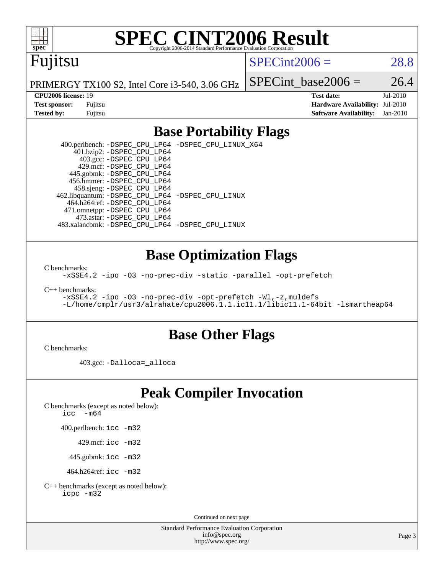

# **[SPEC CINT2006 Result](http://www.spec.org/auto/cpu2006/Docs/result-fields.html#SPECCINT2006Result)**

# Fujitsu

 $SPECint2006 = 28.8$  $SPECint2006 = 28.8$ 

PRIMERGY TX100 S2, Intel Core i3-540, 3.06 GHz

SPECint base2006 =  $26.4$ 

**[CPU2006 license:](http://www.spec.org/auto/cpu2006/Docs/result-fields.html#CPU2006license)** 19 **[Test date:](http://www.spec.org/auto/cpu2006/Docs/result-fields.html#Testdate)** Jul-2010 **[Test sponsor:](http://www.spec.org/auto/cpu2006/Docs/result-fields.html#Testsponsor)** Fujitsu **[Hardware Availability:](http://www.spec.org/auto/cpu2006/Docs/result-fields.html#HardwareAvailability)** Jul-2010 **[Tested by:](http://www.spec.org/auto/cpu2006/Docs/result-fields.html#Testedby)** Fujitsu **[Software Availability:](http://www.spec.org/auto/cpu2006/Docs/result-fields.html#SoftwareAvailability)** Jan-2010

### **[Base Portability Flags](http://www.spec.org/auto/cpu2006/Docs/result-fields.html#BasePortabilityFlags)**

 400.perlbench: [-DSPEC\\_CPU\\_LP64](http://www.spec.org/cpu2006/results/res2010q3/cpu2006-20100812-12853.flags.html#b400.perlbench_basePORTABILITY_DSPEC_CPU_LP64) [-DSPEC\\_CPU\\_LINUX\\_X64](http://www.spec.org/cpu2006/results/res2010q3/cpu2006-20100812-12853.flags.html#b400.perlbench_baseCPORTABILITY_DSPEC_CPU_LINUX_X64) 401.bzip2: [-DSPEC\\_CPU\\_LP64](http://www.spec.org/cpu2006/results/res2010q3/cpu2006-20100812-12853.flags.html#suite_basePORTABILITY401_bzip2_DSPEC_CPU_LP64) 403.gcc: [-DSPEC\\_CPU\\_LP64](http://www.spec.org/cpu2006/results/res2010q3/cpu2006-20100812-12853.flags.html#suite_basePORTABILITY403_gcc_DSPEC_CPU_LP64) 429.mcf: [-DSPEC\\_CPU\\_LP64](http://www.spec.org/cpu2006/results/res2010q3/cpu2006-20100812-12853.flags.html#suite_basePORTABILITY429_mcf_DSPEC_CPU_LP64) 445.gobmk: [-DSPEC\\_CPU\\_LP64](http://www.spec.org/cpu2006/results/res2010q3/cpu2006-20100812-12853.flags.html#suite_basePORTABILITY445_gobmk_DSPEC_CPU_LP64) 456.hmmer: [-DSPEC\\_CPU\\_LP64](http://www.spec.org/cpu2006/results/res2010q3/cpu2006-20100812-12853.flags.html#suite_basePORTABILITY456_hmmer_DSPEC_CPU_LP64) 458.sjeng: [-DSPEC\\_CPU\\_LP64](http://www.spec.org/cpu2006/results/res2010q3/cpu2006-20100812-12853.flags.html#suite_basePORTABILITY458_sjeng_DSPEC_CPU_LP64) 462.libquantum: [-DSPEC\\_CPU\\_LP64](http://www.spec.org/cpu2006/results/res2010q3/cpu2006-20100812-12853.flags.html#suite_basePORTABILITY462_libquantum_DSPEC_CPU_LP64) [-DSPEC\\_CPU\\_LINUX](http://www.spec.org/cpu2006/results/res2010q3/cpu2006-20100812-12853.flags.html#b462.libquantum_baseCPORTABILITY_DSPEC_CPU_LINUX) 464.h264ref: [-DSPEC\\_CPU\\_LP64](http://www.spec.org/cpu2006/results/res2010q3/cpu2006-20100812-12853.flags.html#suite_basePORTABILITY464_h264ref_DSPEC_CPU_LP64) 471.omnetpp: [-DSPEC\\_CPU\\_LP64](http://www.spec.org/cpu2006/results/res2010q3/cpu2006-20100812-12853.flags.html#suite_basePORTABILITY471_omnetpp_DSPEC_CPU_LP64) 473.astar: [-DSPEC\\_CPU\\_LP64](http://www.spec.org/cpu2006/results/res2010q3/cpu2006-20100812-12853.flags.html#suite_basePORTABILITY473_astar_DSPEC_CPU_LP64) 483.xalancbmk: [-DSPEC\\_CPU\\_LP64](http://www.spec.org/cpu2006/results/res2010q3/cpu2006-20100812-12853.flags.html#suite_basePORTABILITY483_xalancbmk_DSPEC_CPU_LP64) [-DSPEC\\_CPU\\_LINUX](http://www.spec.org/cpu2006/results/res2010q3/cpu2006-20100812-12853.flags.html#b483.xalancbmk_baseCXXPORTABILITY_DSPEC_CPU_LINUX)

### **[Base Optimization Flags](http://www.spec.org/auto/cpu2006/Docs/result-fields.html#BaseOptimizationFlags)**

[C benchmarks](http://www.spec.org/auto/cpu2006/Docs/result-fields.html#Cbenchmarks):

[-xSSE4.2](http://www.spec.org/cpu2006/results/res2010q3/cpu2006-20100812-12853.flags.html#user_CCbase_f-xSSE42_f91528193cf0b216347adb8b939d4107) [-ipo](http://www.spec.org/cpu2006/results/res2010q3/cpu2006-20100812-12853.flags.html#user_CCbase_f-ipo) [-O3](http://www.spec.org/cpu2006/results/res2010q3/cpu2006-20100812-12853.flags.html#user_CCbase_f-O3) [-no-prec-div](http://www.spec.org/cpu2006/results/res2010q3/cpu2006-20100812-12853.flags.html#user_CCbase_f-no-prec-div) [-static](http://www.spec.org/cpu2006/results/res2010q3/cpu2006-20100812-12853.flags.html#user_CCbase_f-static) [-parallel](http://www.spec.org/cpu2006/results/res2010q3/cpu2006-20100812-12853.flags.html#user_CCbase_f-parallel) [-opt-prefetch](http://www.spec.org/cpu2006/results/res2010q3/cpu2006-20100812-12853.flags.html#user_CCbase_f-opt-prefetch)

[C++ benchmarks:](http://www.spec.org/auto/cpu2006/Docs/result-fields.html#CXXbenchmarks)

[-xSSE4.2](http://www.spec.org/cpu2006/results/res2010q3/cpu2006-20100812-12853.flags.html#user_CXXbase_f-xSSE42_f91528193cf0b216347adb8b939d4107) [-ipo](http://www.spec.org/cpu2006/results/res2010q3/cpu2006-20100812-12853.flags.html#user_CXXbase_f-ipo) [-O3](http://www.spec.org/cpu2006/results/res2010q3/cpu2006-20100812-12853.flags.html#user_CXXbase_f-O3) [-no-prec-div](http://www.spec.org/cpu2006/results/res2010q3/cpu2006-20100812-12853.flags.html#user_CXXbase_f-no-prec-div) [-opt-prefetch](http://www.spec.org/cpu2006/results/res2010q3/cpu2006-20100812-12853.flags.html#user_CXXbase_f-opt-prefetch) [-Wl,-z,muldefs](http://www.spec.org/cpu2006/results/res2010q3/cpu2006-20100812-12853.flags.html#user_CXXbase_link_force_multiple1_74079c344b956b9658436fd1b6dd3a8a) [-L/home/cmplr/usr3/alrahate/cpu2006.1.1.ic11.1/libic11.1-64bit -lsmartheap64](http://www.spec.org/cpu2006/results/res2010q3/cpu2006-20100812-12853.flags.html#user_CXXbase_SmartHeap64_e2306cda84805d1ab360117a79ff779c)

### **[Base Other Flags](http://www.spec.org/auto/cpu2006/Docs/result-fields.html#BaseOtherFlags)**

[C benchmarks](http://www.spec.org/auto/cpu2006/Docs/result-fields.html#Cbenchmarks):

403.gcc: [-Dalloca=\\_alloca](http://www.spec.org/cpu2006/results/res2010q3/cpu2006-20100812-12853.flags.html#b403.gcc_baseEXTRA_CFLAGS_Dalloca_be3056838c12de2578596ca5467af7f3)

## **[Peak Compiler Invocation](http://www.spec.org/auto/cpu2006/Docs/result-fields.html#PeakCompilerInvocation)**

[C benchmarks \(except as noted below\)](http://www.spec.org/auto/cpu2006/Docs/result-fields.html#Cbenchmarksexceptasnotedbelow):

icc  $-m64$ 

400.perlbench: [icc -m32](http://www.spec.org/cpu2006/results/res2010q3/cpu2006-20100812-12853.flags.html#user_peakCCLD400_perlbench_intel_icc_32bit_a6a621f8d50482236b970c6ac5f55f93)

429.mcf: [icc -m32](http://www.spec.org/cpu2006/results/res2010q3/cpu2006-20100812-12853.flags.html#user_peakCCLD429_mcf_intel_icc_32bit_a6a621f8d50482236b970c6ac5f55f93)

445.gobmk: [icc -m32](http://www.spec.org/cpu2006/results/res2010q3/cpu2006-20100812-12853.flags.html#user_peakCCLD445_gobmk_intel_icc_32bit_a6a621f8d50482236b970c6ac5f55f93)

464.h264ref: [icc -m32](http://www.spec.org/cpu2006/results/res2010q3/cpu2006-20100812-12853.flags.html#user_peakCCLD464_h264ref_intel_icc_32bit_a6a621f8d50482236b970c6ac5f55f93)

[C++ benchmarks \(except as noted below\):](http://www.spec.org/auto/cpu2006/Docs/result-fields.html#CXXbenchmarksexceptasnotedbelow) [icpc -m32](http://www.spec.org/cpu2006/results/res2010q3/cpu2006-20100812-12853.flags.html#user_CXXpeak_intel_icpc_32bit_4e5a5ef1a53fd332b3c49e69c3330699)

Continued on next page

Standard Performance Evaluation Corporation [info@spec.org](mailto:info@spec.org) <http://www.spec.org/>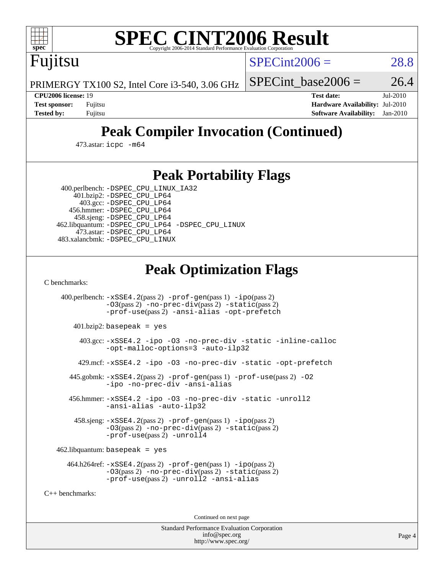

# **[SPEC CINT2006 Result](http://www.spec.org/auto/cpu2006/Docs/result-fields.html#SPECCINT2006Result)**

 $SPECint2006 = 28.8$  $SPECint2006 = 28.8$ 

PRIMERGY TX100 S2, Intel Core i3-540, 3.06 GHz

Fujitsu

**[Tested by:](http://www.spec.org/auto/cpu2006/Docs/result-fields.html#Testedby)** Fujitsu **[Software Availability:](http://www.spec.org/auto/cpu2006/Docs/result-fields.html#SoftwareAvailability)** Jan-2010

**[CPU2006 license:](http://www.spec.org/auto/cpu2006/Docs/result-fields.html#CPU2006license)** 19 **[Test date:](http://www.spec.org/auto/cpu2006/Docs/result-fields.html#Testdate)** Jul-2010 **[Test sponsor:](http://www.spec.org/auto/cpu2006/Docs/result-fields.html#Testsponsor)** Fujitsu **[Hardware Availability:](http://www.spec.org/auto/cpu2006/Docs/result-fields.html#HardwareAvailability)** Jul-2010

SPECint base2006 =  $26.4$ 

## **[Peak Compiler Invocation \(Continued\)](http://www.spec.org/auto/cpu2006/Docs/result-fields.html#PeakCompilerInvocation)**

473.astar: [icpc -m64](http://www.spec.org/cpu2006/results/res2010q3/cpu2006-20100812-12853.flags.html#user_peakCXXLD473_astar_intel_icpc_64bit_fc66a5337ce925472a5c54ad6a0de310)

### **[Peak Portability Flags](http://www.spec.org/auto/cpu2006/Docs/result-fields.html#PeakPortabilityFlags)**

400.perlbench: [-DSPEC\\_CPU\\_LINUX\\_IA32](http://www.spec.org/cpu2006/results/res2010q3/cpu2006-20100812-12853.flags.html#b400.perlbench_peakCPORTABILITY_DSPEC_CPU_LINUX_IA32)

 401.bzip2: [-DSPEC\\_CPU\\_LP64](http://www.spec.org/cpu2006/results/res2010q3/cpu2006-20100812-12853.flags.html#suite_peakPORTABILITY401_bzip2_DSPEC_CPU_LP64) 403.gcc: [-DSPEC\\_CPU\\_LP64](http://www.spec.org/cpu2006/results/res2010q3/cpu2006-20100812-12853.flags.html#suite_peakPORTABILITY403_gcc_DSPEC_CPU_LP64) 456.hmmer: [-DSPEC\\_CPU\\_LP64](http://www.spec.org/cpu2006/results/res2010q3/cpu2006-20100812-12853.flags.html#suite_peakPORTABILITY456_hmmer_DSPEC_CPU_LP64) 458.sjeng: [-DSPEC\\_CPU\\_LP64](http://www.spec.org/cpu2006/results/res2010q3/cpu2006-20100812-12853.flags.html#suite_peakPORTABILITY458_sjeng_DSPEC_CPU_LP64) 462.libquantum: [-DSPEC\\_CPU\\_LP64](http://www.spec.org/cpu2006/results/res2010q3/cpu2006-20100812-12853.flags.html#suite_peakPORTABILITY462_libquantum_DSPEC_CPU_LP64) [-DSPEC\\_CPU\\_LINUX](http://www.spec.org/cpu2006/results/res2010q3/cpu2006-20100812-12853.flags.html#b462.libquantum_peakCPORTABILITY_DSPEC_CPU_LINUX) 473.astar: [-DSPEC\\_CPU\\_LP64](http://www.spec.org/cpu2006/results/res2010q3/cpu2006-20100812-12853.flags.html#suite_peakPORTABILITY473_astar_DSPEC_CPU_LP64) 483.xalancbmk: [-DSPEC\\_CPU\\_LINUX](http://www.spec.org/cpu2006/results/res2010q3/cpu2006-20100812-12853.flags.html#b483.xalancbmk_peakCXXPORTABILITY_DSPEC_CPU_LINUX)

## **[Peak Optimization Flags](http://www.spec.org/auto/cpu2006/Docs/result-fields.html#PeakOptimizationFlags)**

[C benchmarks](http://www.spec.org/auto/cpu2006/Docs/result-fields.html#Cbenchmarks):

 400.perlbench: [-xSSE4.2](http://www.spec.org/cpu2006/results/res2010q3/cpu2006-20100812-12853.flags.html#user_peakPASS2_CFLAGSPASS2_LDCFLAGS400_perlbench_f-xSSE42_f91528193cf0b216347adb8b939d4107)(pass 2) [-prof-gen](http://www.spec.org/cpu2006/results/res2010q3/cpu2006-20100812-12853.flags.html#user_peakPASS1_CFLAGSPASS1_LDCFLAGS400_perlbench_prof_gen_e43856698f6ca7b7e442dfd80e94a8fc)(pass 1) [-ipo](http://www.spec.org/cpu2006/results/res2010q3/cpu2006-20100812-12853.flags.html#user_peakPASS2_CFLAGSPASS2_LDCFLAGS400_perlbench_f-ipo)(pass 2) [-O3](http://www.spec.org/cpu2006/results/res2010q3/cpu2006-20100812-12853.flags.html#user_peakPASS2_CFLAGSPASS2_LDCFLAGS400_perlbench_f-O3)(pass 2) [-no-prec-div](http://www.spec.org/cpu2006/results/res2010q3/cpu2006-20100812-12853.flags.html#user_peakPASS2_CFLAGSPASS2_LDCFLAGS400_perlbench_f-no-prec-div)(pass 2) [-static](http://www.spec.org/cpu2006/results/res2010q3/cpu2006-20100812-12853.flags.html#user_peakPASS2_CFLAGSPASS2_LDCFLAGS400_perlbench_f-static)(pass 2) [-prof-use](http://www.spec.org/cpu2006/results/res2010q3/cpu2006-20100812-12853.flags.html#user_peakPASS2_CFLAGSPASS2_LDCFLAGS400_perlbench_prof_use_bccf7792157ff70d64e32fe3e1250b55)(pass 2) [-ansi-alias](http://www.spec.org/cpu2006/results/res2010q3/cpu2006-20100812-12853.flags.html#user_peakCOPTIMIZE400_perlbench_f-ansi-alias) [-opt-prefetch](http://www.spec.org/cpu2006/results/res2010q3/cpu2006-20100812-12853.flags.html#user_peakCOPTIMIZE400_perlbench_f-opt-prefetch) 401.bzip2: basepeak = yes 403.gcc: [-xSSE4.2](http://www.spec.org/cpu2006/results/res2010q3/cpu2006-20100812-12853.flags.html#user_peakCOPTIMIZE403_gcc_f-xSSE42_f91528193cf0b216347adb8b939d4107) [-ipo](http://www.spec.org/cpu2006/results/res2010q3/cpu2006-20100812-12853.flags.html#user_peakCOPTIMIZE403_gcc_f-ipo) [-O3](http://www.spec.org/cpu2006/results/res2010q3/cpu2006-20100812-12853.flags.html#user_peakCOPTIMIZE403_gcc_f-O3) [-no-prec-div](http://www.spec.org/cpu2006/results/res2010q3/cpu2006-20100812-12853.flags.html#user_peakCOPTIMIZE403_gcc_f-no-prec-div) [-static](http://www.spec.org/cpu2006/results/res2010q3/cpu2006-20100812-12853.flags.html#user_peakCOPTIMIZE403_gcc_f-static) [-inline-calloc](http://www.spec.org/cpu2006/results/res2010q3/cpu2006-20100812-12853.flags.html#user_peakCOPTIMIZE403_gcc_f-inline-calloc) [-opt-malloc-options=3](http://www.spec.org/cpu2006/results/res2010q3/cpu2006-20100812-12853.flags.html#user_peakCOPTIMIZE403_gcc_f-opt-malloc-options_13ab9b803cf986b4ee62f0a5998c2238) [-auto-ilp32](http://www.spec.org/cpu2006/results/res2010q3/cpu2006-20100812-12853.flags.html#user_peakCOPTIMIZE403_gcc_f-auto-ilp32) 429.mcf: [-xSSE4.2](http://www.spec.org/cpu2006/results/res2010q3/cpu2006-20100812-12853.flags.html#user_peakCOPTIMIZE429_mcf_f-xSSE42_f91528193cf0b216347adb8b939d4107) [-ipo](http://www.spec.org/cpu2006/results/res2010q3/cpu2006-20100812-12853.flags.html#user_peakCOPTIMIZE429_mcf_f-ipo) [-O3](http://www.spec.org/cpu2006/results/res2010q3/cpu2006-20100812-12853.flags.html#user_peakCOPTIMIZE429_mcf_f-O3) [-no-prec-div](http://www.spec.org/cpu2006/results/res2010q3/cpu2006-20100812-12853.flags.html#user_peakCOPTIMIZE429_mcf_f-no-prec-div) [-static](http://www.spec.org/cpu2006/results/res2010q3/cpu2006-20100812-12853.flags.html#user_peakCOPTIMIZE429_mcf_f-static) [-opt-prefetch](http://www.spec.org/cpu2006/results/res2010q3/cpu2006-20100812-12853.flags.html#user_peakCOPTIMIZE429_mcf_f-opt-prefetch) 445.gobmk: [-xSSE4.2](http://www.spec.org/cpu2006/results/res2010q3/cpu2006-20100812-12853.flags.html#user_peakPASS2_CFLAGSPASS2_LDCFLAGS445_gobmk_f-xSSE42_f91528193cf0b216347adb8b939d4107)(pass 2) [-prof-gen](http://www.spec.org/cpu2006/results/res2010q3/cpu2006-20100812-12853.flags.html#user_peakPASS1_CFLAGSPASS1_LDCFLAGS445_gobmk_prof_gen_e43856698f6ca7b7e442dfd80e94a8fc)(pass 1) [-prof-use](http://www.spec.org/cpu2006/results/res2010q3/cpu2006-20100812-12853.flags.html#user_peakPASS2_CFLAGSPASS2_LDCFLAGS445_gobmk_prof_use_bccf7792157ff70d64e32fe3e1250b55)(pass 2) [-O2](http://www.spec.org/cpu2006/results/res2010q3/cpu2006-20100812-12853.flags.html#user_peakCOPTIMIZE445_gobmk_f-O2) [-ipo](http://www.spec.org/cpu2006/results/res2010q3/cpu2006-20100812-12853.flags.html#user_peakCOPTIMIZE445_gobmk_f-ipo) [-no-prec-div](http://www.spec.org/cpu2006/results/res2010q3/cpu2006-20100812-12853.flags.html#user_peakCOPTIMIZE445_gobmk_f-no-prec-div) [-ansi-alias](http://www.spec.org/cpu2006/results/res2010q3/cpu2006-20100812-12853.flags.html#user_peakCOPTIMIZE445_gobmk_f-ansi-alias) 456.hmmer: [-xSSE4.2](http://www.spec.org/cpu2006/results/res2010q3/cpu2006-20100812-12853.flags.html#user_peakCOPTIMIZE456_hmmer_f-xSSE42_f91528193cf0b216347adb8b939d4107) [-ipo](http://www.spec.org/cpu2006/results/res2010q3/cpu2006-20100812-12853.flags.html#user_peakCOPTIMIZE456_hmmer_f-ipo) [-O3](http://www.spec.org/cpu2006/results/res2010q3/cpu2006-20100812-12853.flags.html#user_peakCOPTIMIZE456_hmmer_f-O3) [-no-prec-div](http://www.spec.org/cpu2006/results/res2010q3/cpu2006-20100812-12853.flags.html#user_peakCOPTIMIZE456_hmmer_f-no-prec-div) [-static](http://www.spec.org/cpu2006/results/res2010q3/cpu2006-20100812-12853.flags.html#user_peakCOPTIMIZE456_hmmer_f-static) [-unroll2](http://www.spec.org/cpu2006/results/res2010q3/cpu2006-20100812-12853.flags.html#user_peakCOPTIMIZE456_hmmer_f-unroll_784dae83bebfb236979b41d2422d7ec2) [-ansi-alias](http://www.spec.org/cpu2006/results/res2010q3/cpu2006-20100812-12853.flags.html#user_peakCOPTIMIZE456_hmmer_f-ansi-alias) [-auto-ilp32](http://www.spec.org/cpu2006/results/res2010q3/cpu2006-20100812-12853.flags.html#user_peakCOPTIMIZE456_hmmer_f-auto-ilp32) 458.sjeng: [-xSSE4.2](http://www.spec.org/cpu2006/results/res2010q3/cpu2006-20100812-12853.flags.html#user_peakPASS2_CFLAGSPASS2_LDCFLAGS458_sjeng_f-xSSE42_f91528193cf0b216347adb8b939d4107)(pass 2) [-prof-gen](http://www.spec.org/cpu2006/results/res2010q3/cpu2006-20100812-12853.flags.html#user_peakPASS1_CFLAGSPASS1_LDCFLAGS458_sjeng_prof_gen_e43856698f6ca7b7e442dfd80e94a8fc)(pass 1) [-ipo](http://www.spec.org/cpu2006/results/res2010q3/cpu2006-20100812-12853.flags.html#user_peakPASS2_CFLAGSPASS2_LDCFLAGS458_sjeng_f-ipo)(pass 2) [-O3](http://www.spec.org/cpu2006/results/res2010q3/cpu2006-20100812-12853.flags.html#user_peakPASS2_CFLAGSPASS2_LDCFLAGS458_sjeng_f-O3)(pass 2) [-no-prec-div](http://www.spec.org/cpu2006/results/res2010q3/cpu2006-20100812-12853.flags.html#user_peakPASS2_CFLAGSPASS2_LDCFLAGS458_sjeng_f-no-prec-div)(pass 2) [-static](http://www.spec.org/cpu2006/results/res2010q3/cpu2006-20100812-12853.flags.html#user_peakPASS2_CFLAGSPASS2_LDCFLAGS458_sjeng_f-static)(pass 2) [-prof-use](http://www.spec.org/cpu2006/results/res2010q3/cpu2006-20100812-12853.flags.html#user_peakPASS2_CFLAGSPASS2_LDCFLAGS458_sjeng_prof_use_bccf7792157ff70d64e32fe3e1250b55)(pass 2) [-unroll4](http://www.spec.org/cpu2006/results/res2010q3/cpu2006-20100812-12853.flags.html#user_peakCOPTIMIZE458_sjeng_f-unroll_4e5e4ed65b7fd20bdcd365bec371b81f)  $462$ .libquantum: basepeak = yes 464.h264ref: [-xSSE4.2](http://www.spec.org/cpu2006/results/res2010q3/cpu2006-20100812-12853.flags.html#user_peakPASS2_CFLAGSPASS2_LDCFLAGS464_h264ref_f-xSSE42_f91528193cf0b216347adb8b939d4107)(pass 2) [-prof-gen](http://www.spec.org/cpu2006/results/res2010q3/cpu2006-20100812-12853.flags.html#user_peakPASS1_CFLAGSPASS1_LDCFLAGS464_h264ref_prof_gen_e43856698f6ca7b7e442dfd80e94a8fc)(pass 1) [-ipo](http://www.spec.org/cpu2006/results/res2010q3/cpu2006-20100812-12853.flags.html#user_peakPASS2_CFLAGSPASS2_LDCFLAGS464_h264ref_f-ipo)(pass 2) [-O3](http://www.spec.org/cpu2006/results/res2010q3/cpu2006-20100812-12853.flags.html#user_peakPASS2_CFLAGSPASS2_LDCFLAGS464_h264ref_f-O3)(pass 2) [-no-prec-div](http://www.spec.org/cpu2006/results/res2010q3/cpu2006-20100812-12853.flags.html#user_peakPASS2_CFLAGSPASS2_LDCFLAGS464_h264ref_f-no-prec-div)(pass 2) [-static](http://www.spec.org/cpu2006/results/res2010q3/cpu2006-20100812-12853.flags.html#user_peakPASS2_CFLAGSPASS2_LDCFLAGS464_h264ref_f-static)(pass 2) [-prof-use](http://www.spec.org/cpu2006/results/res2010q3/cpu2006-20100812-12853.flags.html#user_peakPASS2_CFLAGSPASS2_LDCFLAGS464_h264ref_prof_use_bccf7792157ff70d64e32fe3e1250b55)(pass 2) [-unroll2](http://www.spec.org/cpu2006/results/res2010q3/cpu2006-20100812-12853.flags.html#user_peakCOPTIMIZE464_h264ref_f-unroll_784dae83bebfb236979b41d2422d7ec2) [-ansi-alias](http://www.spec.org/cpu2006/results/res2010q3/cpu2006-20100812-12853.flags.html#user_peakCOPTIMIZE464_h264ref_f-ansi-alias) [C++ benchmarks:](http://www.spec.org/auto/cpu2006/Docs/result-fields.html#CXXbenchmarks)

Continued on next page

Standard Performance Evaluation Corporation [info@spec.org](mailto:info@spec.org) <http://www.spec.org/>